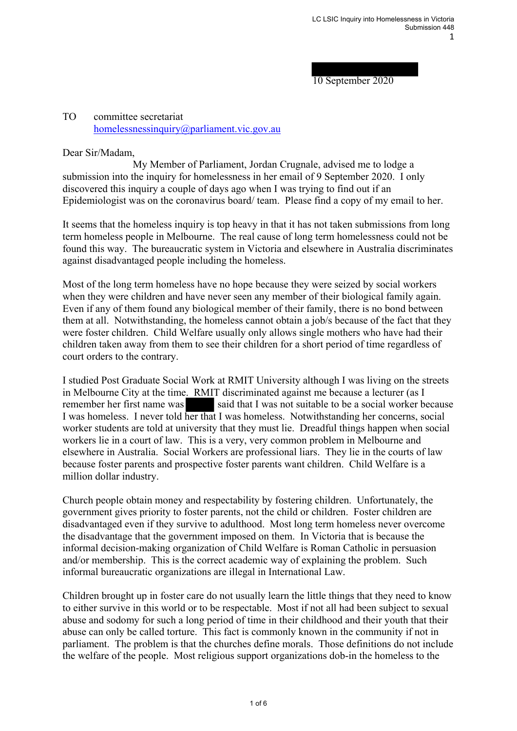10 September 2020

## TO committee secretariat homelessnessinquiry@parliament.vic.gov.au

Dear Sir/Madam,

 My Member of Parliament, Jordan Crugnale, advised me to lodge a submission into the inquiry for homelessness in her email of 9 September 2020. I only discovered this inquiry a couple of days ago when I was trying to find out if an Epidemiologist was on the coronavirus board/ team. Please find a copy of my email to her.

It seems that the homeless inquiry is top heavy in that it has not taken submissions from long term homeless people in Melbourne. The real cause of long term homelessness could not be found this way. The bureaucratic system in Victoria and elsewhere in Australia discriminates against disadvantaged people including the homeless.

Most of the long term homeless have no hope because they were seized by social workers when they were children and have never seen any member of their biological family again. Even if any of them found any biological member of their family, there is no bond between them at all. Notwithstanding, the homeless cannot obtain a job/s because of the fact that they were foster children. Child Welfare usually only allows single mothers who have had their children taken away from them to see their children for a short period of time regardless of court orders to the contrary.

I studied Post Graduate Social Work at RMIT University although I was living on the streets in Melbourne City at the time. RMIT discriminated against me because a lecturer (as I remember her first name was said that I was not suitable to be a social worker because I was homeless. I never told her that I was homeless. Notwithstanding her concerns, social worker students are told at university that they must lie. Dreadful things happen when social workers lie in a court of law. This is a very, very common problem in Melbourne and elsewhere in Australia. Social Workers are professional liars. They lie in the courts of law because foster parents and prospective foster parents want children. Child Welfare is a million dollar industry.

Church people obtain money and respectability by fostering children. Unfortunately, the government gives priority to foster parents, not the child or children. Foster children are disadvantaged even if they survive to adulthood. Most long term homeless never overcome the disadvantage that the government imposed on them. In Victoria that is because the informal decision-making organization of Child Welfare is Roman Catholic in persuasion and/or membership. This is the correct academic way of explaining the problem. Such informal bureaucratic organizations are illegal in International Law.

Children brought up in foster care do not usually learn the little things that they need to know to either survive in this world or to be respectable. Most if not all had been subject to sexual abuse and sodomy for such a long period of time in their childhood and their youth that their abuse can only be called torture. This fact is commonly known in the community if not in parliament. The problem is that the churches define morals. Those definitions do not include the welfare of the people. Most religious support organizations dob-in the homeless to the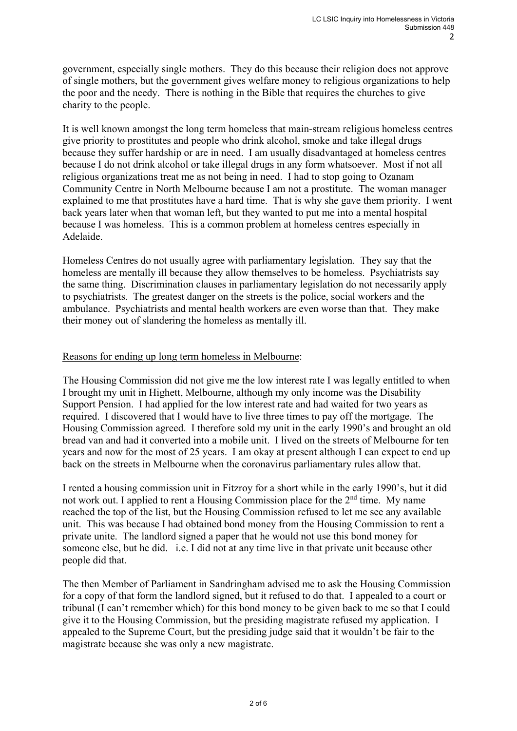government, especially single mothers. They do this because their religion does not approve of single mothers, but the government gives welfare money to religious organizations to help the poor and the needy. There is nothing in the Bible that requires the churches to give charity to the people.

It is well known amongst the long term homeless that main-stream religious homeless centres give priority to prostitutes and people who drink alcohol, smoke and take illegal drugs because they suffer hardship or are in need. I am usually disadvantaged at homeless centres because I do not drink alcohol or take illegal drugs in any form whatsoever. Most if not all religious organizations treat me as not being in need. I had to stop going to Ozanam Community Centre in North Melbourne because I am not a prostitute. The woman manager explained to me that prostitutes have a hard time. That is why she gave them priority. I went back years later when that woman left, but they wanted to put me into a mental hospital because I was homeless. This is a common problem at homeless centres especially in Adelaide.

Homeless Centres do not usually agree with parliamentary legislation. They say that the homeless are mentally ill because they allow themselves to be homeless. Psychiatrists say the same thing. Discrimination clauses in parliamentary legislation do not necessarily apply to psychiatrists. The greatest danger on the streets is the police, social workers and the ambulance. Psychiatrists and mental health workers are even worse than that. They make their money out of slandering the homeless as mentally ill.

## Reasons for ending up long term homeless in Melbourne:

The Housing Commission did not give me the low interest rate I was legally entitled to when I brought my unit in Highett, Melbourne, although my only income was the Disability Support Pension. I had applied for the low interest rate and had waited for two years as required. I discovered that I would have to live three times to pay off the mortgage. The Housing Commission agreed. I therefore sold my unit in the early 1990's and brought an old bread van and had it converted into a mobile unit. I lived on the streets of Melbourne for ten years and now for the most of 25 years. I am okay at present although I can expect to end up back on the streets in Melbourne when the coronavirus parliamentary rules allow that.

I rented a housing commission unit in Fitzroy for a short while in the early 1990's, but it did not work out. I applied to rent a Housing Commission place for the  $2<sup>nd</sup>$  time. My name reached the top of the list, but the Housing Commission refused to let me see any available unit. This was because I had obtained bond money from the Housing Commission to rent a private unite. The landlord signed a paper that he would not use this bond money for someone else, but he did. i.e. I did not at any time live in that private unit because other people did that.

The then Member of Parliament in Sandringham advised me to ask the Housing Commission for a copy of that form the landlord signed, but it refused to do that. I appealed to a court or tribunal (I can't remember which) for this bond money to be given back to me so that I could give it to the Housing Commission, but the presiding magistrate refused my application. I appealed to the Supreme Court, but the presiding judge said that it wouldn't be fair to the magistrate because she was only a new magistrate.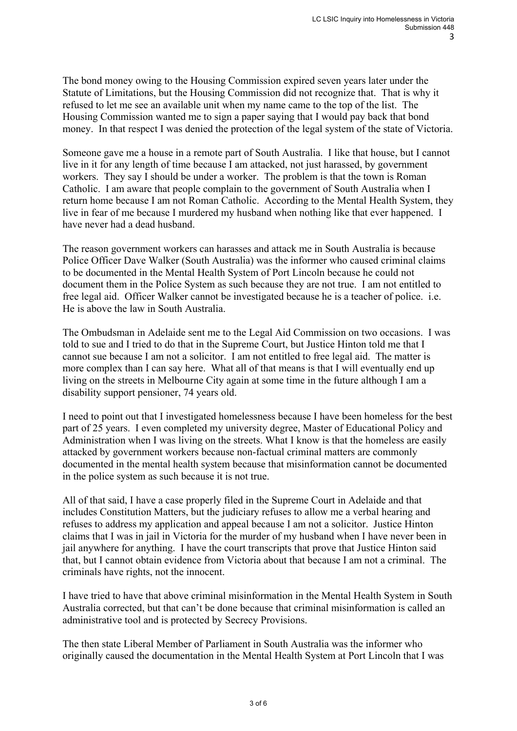The bond money owing to the Housing Commission expired seven years later under the Statute of Limitations, but the Housing Commission did not recognize that. That is why it refused to let me see an available unit when my name came to the top of the list. The Housing Commission wanted me to sign a paper saying that I would pay back that bond money. In that respect I was denied the protection of the legal system of the state of Victoria.

Someone gave me a house in a remote part of South Australia. I like that house, but I cannot live in it for any length of time because I am attacked, not just harassed, by government workers. They say I should be under a worker. The problem is that the town is Roman Catholic. I am aware that people complain to the government of South Australia when I return home because I am not Roman Catholic. According to the Mental Health System, they live in fear of me because I murdered my husband when nothing like that ever happened. I have never had a dead husband.

The reason government workers can harasses and attack me in South Australia is because Police Officer Dave Walker (South Australia) was the informer who caused criminal claims to be documented in the Mental Health System of Port Lincoln because he could not document them in the Police System as such because they are not true. I am not entitled to free legal aid. Officer Walker cannot be investigated because he is a teacher of police. i.e. He is above the law in South Australia.

The Ombudsman in Adelaide sent me to the Legal Aid Commission on two occasions. I was told to sue and I tried to do that in the Supreme Court, but Justice Hinton told me that I cannot sue because I am not a solicitor. I am not entitled to free legal aid. The matter is more complex than I can say here. What all of that means is that I will eventually end up living on the streets in Melbourne City again at some time in the future although I am a disability support pensioner, 74 years old.

I need to point out that I investigated homelessness because I have been homeless for the best part of 25 years. I even completed my university degree, Master of Educational Policy and Administration when I was living on the streets. What I know is that the homeless are easily attacked by government workers because non-factual criminal matters are commonly documented in the mental health system because that misinformation cannot be documented in the police system as such because it is not true.

All of that said, I have a case properly filed in the Supreme Court in Adelaide and that includes Constitution Matters, but the judiciary refuses to allow me a verbal hearing and refuses to address my application and appeal because I am not a solicitor. Justice Hinton claims that I was in jail in Victoria for the murder of my husband when I have never been in jail anywhere for anything. I have the court transcripts that prove that Justice Hinton said that, but I cannot obtain evidence from Victoria about that because I am not a criminal. The criminals have rights, not the innocent.

I have tried to have that above criminal misinformation in the Mental Health System in South Australia corrected, but that can't be done because that criminal misinformation is called an administrative tool and is protected by Secrecy Provisions.

The then state Liberal Member of Parliament in South Australia was the informer who originally caused the documentation in the Mental Health System at Port Lincoln that I was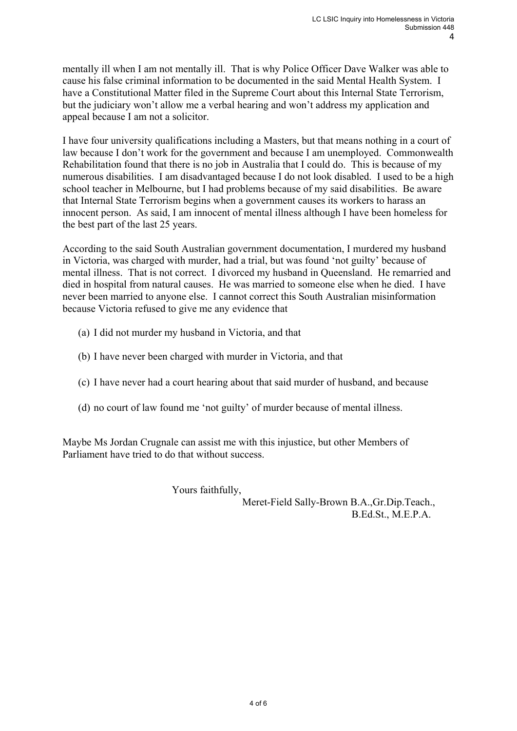mentally ill when I am not mentally ill. That is why Police Officer Dave Walker was able to cause his false criminal information to be documented in the said Mental Health System. I have a Constitutional Matter filed in the Supreme Court about this Internal State Terrorism, but the judiciary won't allow me a verbal hearing and won't address my application and appeal because I am not a solicitor.

I have four university qualifications including a Masters, but that means nothing in a court of law because I don't work for the government and because I am unemployed. Commonwealth Rehabilitation found that there is no job in Australia that I could do. This is because of my numerous disabilities. I am disadvantaged because I do not look disabled. I used to be a high school teacher in Melbourne, but I had problems because of my said disabilities. Be aware that Internal State Terrorism begins when a government causes its workers to harass an innocent person. As said, I am innocent of mental illness although I have been homeless for the best part of the last 25 years.

According to the said South Australian government documentation, I murdered my husband in Victoria, was charged with murder, had a trial, but was found 'not guilty' because of mental illness. That is not correct. I divorced my husband in Queensland. He remarried and died in hospital from natural causes. He was married to someone else when he died. I have never been married to anyone else. I cannot correct this South Australian misinformation because Victoria refused to give me any evidence that

- (a) I did not murder my husband in Victoria, and that
- (b) I have never been charged with murder in Victoria, and that
- (c) I have never had a court hearing about that said murder of husband, and because
- (d) no court of law found me 'not guilty' of murder because of mental illness.

Maybe Ms Jordan Crugnale can assist me with this injustice, but other Members of Parliament have tried to do that without success.

Yours faithfully,

 Meret-Field Sally-Brown B.A.,Gr.Dip.Teach., B.Ed.St., M.E.P.A.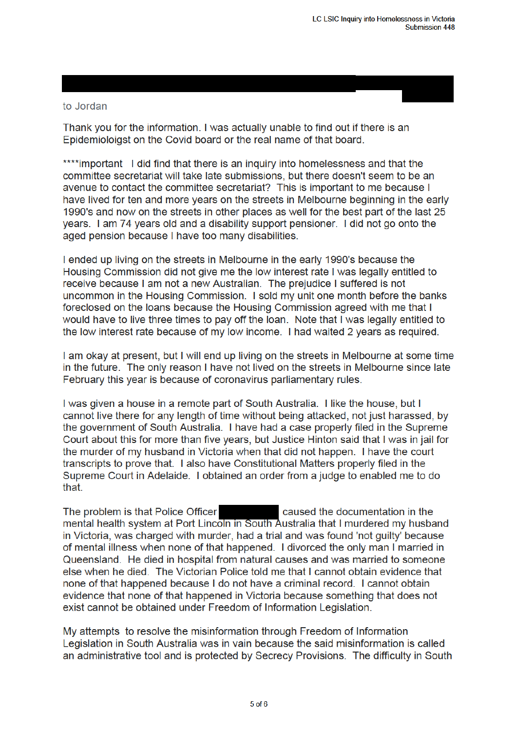## to Jordan

Thank you for the information. I was actually unable to find out if there is an Epidemioloigst on the Covid board or the real name of that board.

\*\*\*\*important I did find that there is an inquiry into homelessness and that the committee secretariat will take late submissions, but there doesn't seem to be an avenue to contact the committee secretariat? This is important to me because I have lived for ten and more years on the streets in Melbourne beginning in the early 1990's and now on the streets in other places as well for the best part of the last 25 years. I am 74 years old and a disability support pensioner. I did not go onto the aged pension because I have too many disabilities.

I ended up living on the streets in Melbourne in the early 1990's because the Housing Commission did not give me the low interest rate I was legally entitled to receive because I am not a new Australian. The prejudice I suffered is not uncommon in the Housing Commission. I sold my unit one month before the banks foreclosed on the loans because the Housing Commission agreed with me that I would have to live three times to pay off the loan. Note that I was legally entitled to the low interest rate because of my low income. I had waited 2 years as required.

I am okay at present, but I will end up living on the streets in Melbourne at some time in the future. The only reason I have not lived on the streets in Melbourne since late February this year is because of coronavirus parliamentary rules.

I was given a house in a remote part of South Australia. I like the house, but I cannot live there for any length of time without being attacked, not just harassed, by the government of South Australia. I have had a case properly filed in the Supreme Court about this for more than five years, but Justice Hinton said that I was in iail for the murder of my husband in Victoria when that did not happen. I have the court transcripts to prove that. I also have Constitutional Matters properly filed in the Supreme Court in Adelaide. I obtained an order from a judge to enabled me to do that.

The problem is that Police Officer caused the documentation in the mental health system at Port Lincoln in South Australia that I murdered my husband in Victoria, was charged with murder, had a trial and was found 'not guilty' because of mental illness when none of that happened. I divorced the only man I married in Queensland. He died in hospital from natural causes and was married to someone else when he died. The Victorian Police told me that I cannot obtain evidence that none of that happened because I do not have a criminal record. I cannot obtain evidence that none of that happened in Victoria because something that does not exist cannot be obtained under Freedom of Information Legislation.

My attempts to resolve the misinformation through Freedom of Information Legislation in South Australia was in vain because the said misinformation is called an administrative tool and is protected by Secrecy Provisions. The difficulty in South